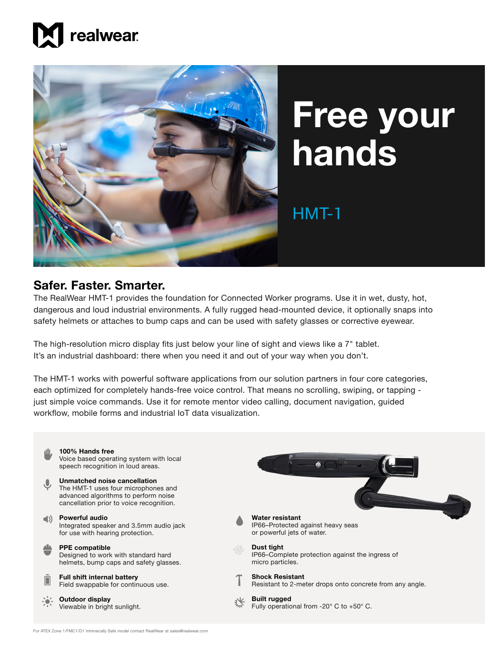



## **Free your hands**

## HMT-1

## **Safer. Faster. Smarter.**

The RealWear HMT-1 provides the foundation for Connected Worker programs. Use it in wet, dusty, hot, dangerous and loud industrial environments. A fully rugged head-mounted device, it optionally snaps into safety helmets or attaches to bump caps and can be used with safety glasses or corrective eyewear.

The high-resolution micro display fits just below your line of sight and views like a 7" tablet. It's an industrial dashboard: there when you need it and out of your way when you don't.

The HMT-1 works with powerful software applications from our solution partners in four core categories, each optimized for completely hands-free voice control. That means no scrolling, swiping, or tapping just simple voice commands. Use it for remote mentor video calling, document navigation, guided workflow, mobile forms and industrial IoT data visualization.